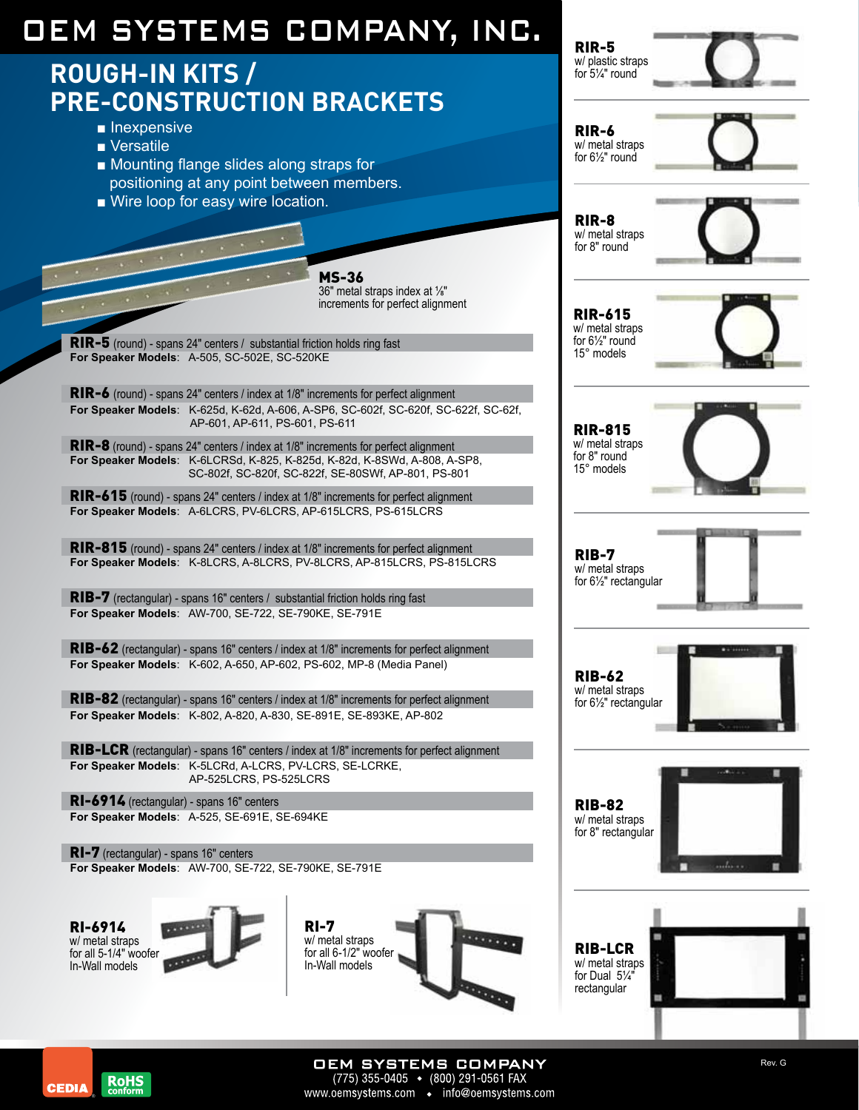# OEM Systems Company, Inc.

### **Rough-In Kits / Pre-Construction Brackets**

- Inexpensive
- Versatile
- Mounting flange slides along straps for positioning at any point between members.
- Wire loop for easy wire location.

MS-36 36" metal straps index at ⅛" increments for perfect alignment

RIR-5 (round) - spans 24" centers / substantial friction holds ring fast **For Speaker Models**: A-505, SC-502E, SC-520KE

RIR-6 (round) - spans 24" centers / index at 1/8" increments for perfect alignment **For Speaker Models**: K-625d, K-62d, A-606, A-SP6, SC-602f, SC-620f, SC-622f, SC-62f, AP-601, AP-611, PS-601, PS-611

RIR-8 (round) - spans 24" centers / index at 1/8" increments for perfect alignment **For Speaker Models**: K-6LCRSd, K-825, K-825d, K-82d, K-8SWd, A-808, A-SP8, SC-802f, SC-820f, SC-822f, SE-80SWf, AP-801, PS-801

RIR-615 (round) - spans 24" centers / index at 1/8" increments for perfect alignment **For Speaker Models**: A-6LCRS, PV-6LCRS, AP-615LCRS, PS-615LCRS

RIR-815 (round) - spans 24" centers / index at 1/8" increments for perfect alignment **For Speaker Models**: K-8LCRS, A-8LCRS, PV-8LCRS, AP-815LCRS, PS-815LCRS

RIB-7 (rectangular) - spans 16" centers / substantial friction holds ring fast **For Speaker Models**: AW-700, SE-722, SE-790KE, SE-791E

RIB-62 (rectangular) - spans 16" centers / index at 1/8" increments for perfect alignment **For Speaker Models**: K-602, A-650, AP-602, PS-602, MP-8 (Media Panel)

RIB-82 (rectangular) - spans 16" centers / index at 1/8" increments for perfect alignment **For Speaker Models**: K-802, A-820, A-830, SE-891E, SE-893KE, AP-802

RIB-LCR (rectangular) - spans 16" centers / index at 1/8" increments for perfect alignment **For Speaker Models**: K-5LCRd, A-LCRS, PV-LCRS, SE-LCRKE, AP-525LCRS, PS-525LCRS

RI-6914 (rectangular) - spans 16" centers **For Speaker Models**: A-525, SE-691E, SE-694KE

RI-7 (rectangular) - spans 16" centers **For Speaker Models**: AW-700, SE-722, SE-790KE, SE-791E

RI-6914 w/ metal straps for all 5-1/4" woofer In-Wall models







RIR-5 w/ plastic straps for 5¼" round

RIR-6



RIR-615 w/ metal straps for 6½" round 15° models



RIR-815 w/ metal straps for 8" round 15° models



RIB-7 w/ metal straps for 6½" rectangular



RIB-62 w/ metal straps for 6½" rectangular



RIB-82 w/ metal straps for 8" rectangular